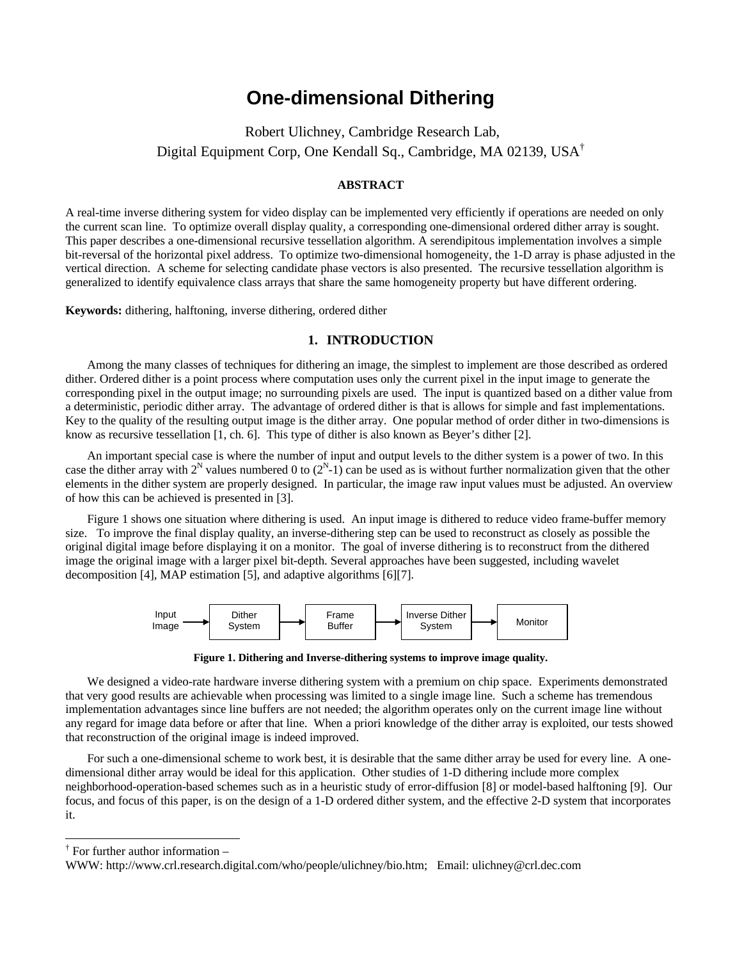# **One-dimensional Dithering**

 Robert Ulichney, Cambridge Research Lab, Digital Equipment Corp, One Kendall Sq., Cambridge, MA 02139, USA†

#### **ABSTRACT**

A real-time inverse dithering system for video display can be implemented very efficiently if operations are needed on only the current scan line. To optimize overall display quality, a corresponding one-dimensional ordered dither array is sought. This paper describes a one-dimensional recursive tessellation algorithm. A serendipitous implementation involves a simple bit-reversal of the horizontal pixel address. To optimize two-dimensional homogeneity, the 1-D array is phase adjusted in the vertical direction. A scheme for selecting candidate phase vectors is also presented. The recursive tessellation algorithm is generalized to identify equivalence class arrays that share the same homogeneity property but have different ordering.

**Keywords:** dithering, halftoning, inverse dithering, ordered dither

# **1. INTRODUCTION**

Among the many classes of techniques for dithering an image, the simplest to implement are those described as ordered dither. Ordered dither is a point process where computation uses only the current pixel in the input image to generate the corresponding pixel in the output image; no surrounding pixels are used. The input is quantized based on a dither value from a deterministic, periodic dither array. The advantage of ordered dither is that is allows for simple and fast implementations. Key to the quality of the resulting output image is the dither array. One popular method of order dither in two-dimensions is know as recursive tessellation [1, ch. 6]. This type of dither is also known as Beyer's dither [2].

An important special case is where the number of input and output levels to the dither system is a power of two. In this case the dither array with  $2^N$  values numbered 0 to  $(2^N-1)$  can be used as is without further normalization given that the other elements in the dither system are properly designed. In particular, the image raw input values must be adjusted. An overview of how this can be achieved is presented in [3].

Figure 1 shows one situation where dithering is used. An input image is dithered to reduce video frame-buffer memory size. To improve the final display quality, an inverse-dithering step can be used to reconstruct as closely as possible the original digital image before displaying it on a monitor. The goal of inverse dithering is to reconstruct from the dithered image the original image with a larger pixel bit-depth. Several approaches have been suggested, including wavelet decomposition [4], MAP estimation [5], and adaptive algorithms [6][7].



**Figure 1. Dithering and Inverse-dithering systems to improve image quality.**

We designed a video-rate hardware inverse dithering system with a premium on chip space. Experiments demonstrated that very good results are achievable when processing was limited to a single image line. Such a scheme has tremendous implementation advantages since line buffers are not needed; the algorithm operates only on the current image line without any regard for image data before or after that line. When a priori knowledge of the dither array is exploited, our tests showed that reconstruction of the original image is indeed improved.

For such a one-dimensional scheme to work best, it is desirable that the same dither array be used for every line. A onedimensional dither array would be ideal for this application. Other studies of 1-D dithering include more complex neighborhood-operation-based schemes such as in a heuristic study of error-diffusion [8] or model-based halftoning [9]. Our focus, and focus of this paper, is on the design of a 1-D ordered dither system, and the effective 2-D system that incorporates it.

 $\overline{a}$ 

<sup>†</sup> For further author information –

WWW: http://www.crl.research.digital.com/who/people/ulichney/bio.htm; Email: ulichney@crl.dec.com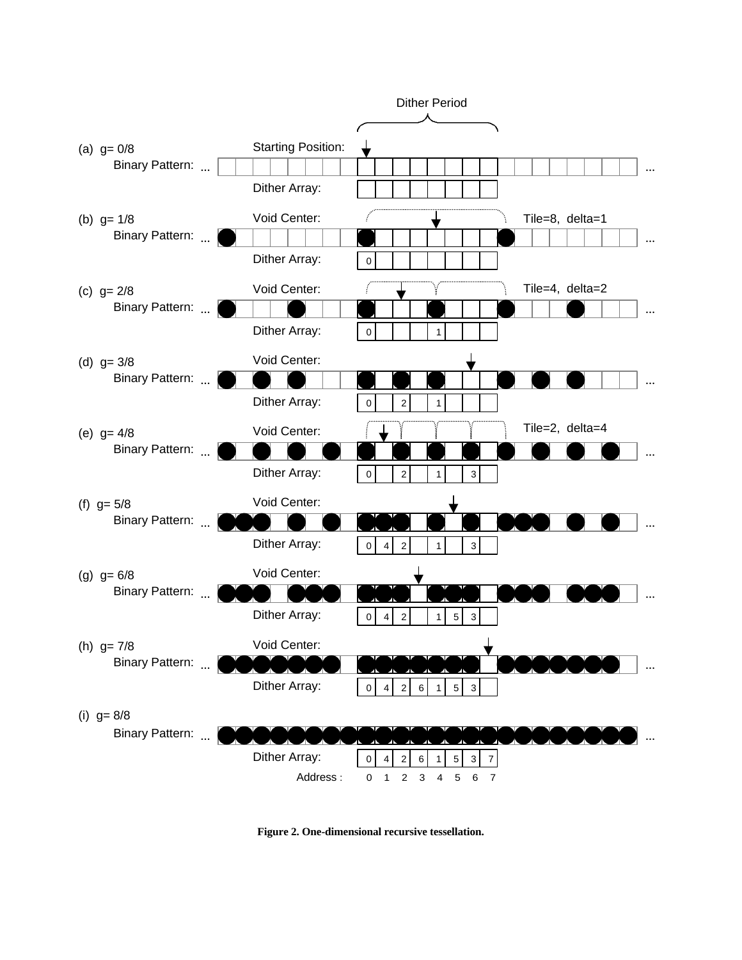

**Figure 2. One-dimensional recursive tessellation.**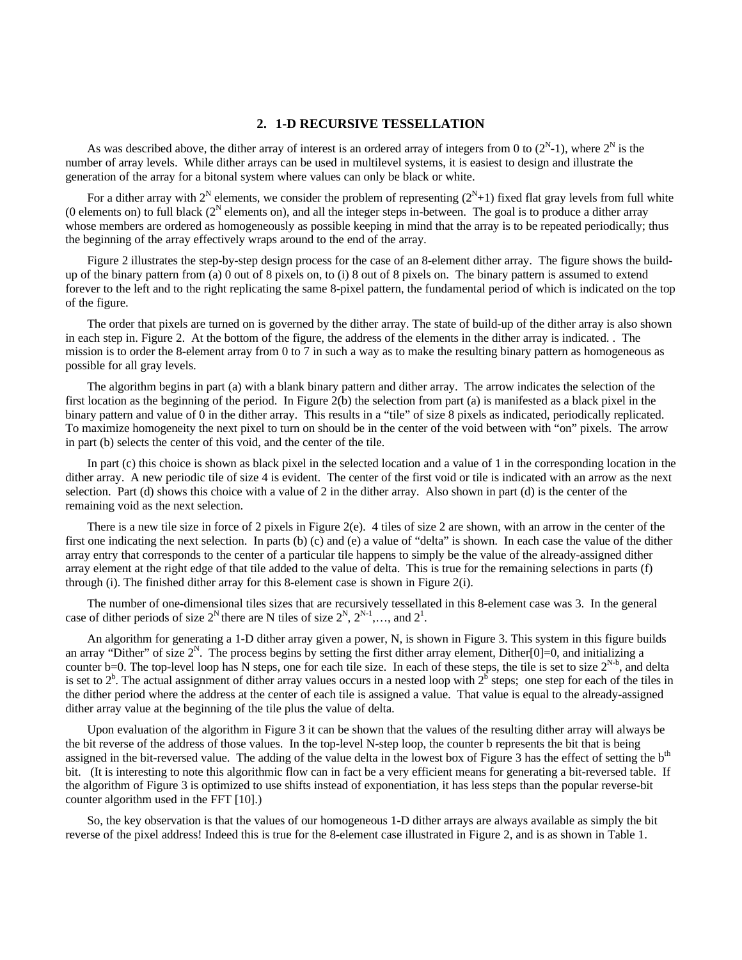## **2. 1-D RECURSIVE TESSELLATION**

As was described above, the dither array of interest is an ordered array of integers from 0 to  $(2^N-1)$ , where  $2^N$  is the number of array levels. While dither arrays can be used in multilevel systems, it is easiest to design and illustrate the generation of the array for a bitonal system where values can only be black or white.

For a dither array with  $2^N$  elements, we consider the problem of representing  $(2^N+1)$  fixed flat gray levels from full white (0 elements on) to full black  $(2^N)$  elements on), and all the integer steps in-between. The goal is to produce a dither array whose members are ordered as homogeneously as possible keeping in mind that the array is to be repeated periodically; thus the beginning of the array effectively wraps around to the end of the array.

Figure 2 illustrates the step-by-step design process for the case of an 8-element dither array. The figure shows the buildup of the binary pattern from (a) 0 out of 8 pixels on, to (i) 8 out of 8 pixels on. The binary pattern is assumed to extend forever to the left and to the right replicating the same 8-pixel pattern, the fundamental period of which is indicated on the top of the figure.

The order that pixels are turned on is governed by the dither array. The state of build-up of the dither array is also shown in each step in. Figure 2. At the bottom of the figure, the address of the elements in the dither array is indicated. . The mission is to order the 8-element array from 0 to 7 in such a way as to make the resulting binary pattern as homogeneous as possible for all gray levels.

The algorithm begins in part (a) with a blank binary pattern and dither array. The arrow indicates the selection of the first location as the beginning of the period. In Figure 2(b) the selection from part (a) is manifested as a black pixel in the binary pattern and value of 0 in the dither array. This results in a "tile" of size 8 pixels as indicated, periodically replicated. To maximize homogeneity the next pixel to turn on should be in the center of the void between with "on" pixels. The arrow in part (b) selects the center of this void, and the center of the tile.

In part (c) this choice is shown as black pixel in the selected location and a value of 1 in the corresponding location in the dither array. A new periodic tile of size 4 is evident. The center of the first void or tile is indicated with an arrow as the next selection. Part (d) shows this choice with a value of 2 in the dither array. Also shown in part (d) is the center of the remaining void as the next selection.

There is a new tile size in force of 2 pixels in Figure 2(e). 4 tiles of size 2 are shown, with an arrow in the center of the first one indicating the next selection. In parts (b) (c) and (e) a value of "delta" is shown. In each case the value of the dither array entry that corresponds to the center of a particular tile happens to simply be the value of the already-assigned dither array element at the right edge of that tile added to the value of delta. This is true for the remaining selections in parts (f) through (i). The finished dither array for this 8-element case is shown in Figure 2(i).

The number of one-dimensional tiles sizes that are recursively tessellated in this 8-element case was 3. In the general case of dither periods of size  $2^N$  there are N tiles of size  $2^N$ ,  $2^{N-1}$ ,..., and  $2^1$ .

An algorithm for generating a 1-D dither array given a power, N, is shown in Figure 3. This system in this figure builds an array "Dither" of size  $2^N$ . The process begins by setting the first dither array element, Dither[0]=0, and initializing a counter b=0. The top-level loop has N steps, one for each tile size. In each of these steps, the tile is set to size  $2^{N-b}$ , and delta is set to  $2^b$ . The actual assignment of dither array values occurs in a nested loop with  $2^b$  steps; one step for each of the tiles in the dither period where the address at the center of each tile is assigned a value. That value is equal to the already-assigned dither array value at the beginning of the tile plus the value of delta.

Upon evaluation of the algorithm in Figure 3 it can be shown that the values of the resulting dither array will always be the bit reverse of the address of those values. In the top-level N-step loop, the counter b represents the bit that is being assigned in the bit-reversed value. The adding of the value delta in the lowest box of Figure 3 has the effect of setting the b<sup>th</sup> bit. (It is interesting to note this algorithmic flow can in fact be a very efficient means for generating a bit-reversed table. If the algorithm of Figure 3 is optimized to use shifts instead of exponentiation, it has less steps than the popular reverse-bit counter algorithm used in the FFT [10].)

So, the key observation is that the values of our homogeneous 1-D dither arrays are always available as simply the bit reverse of the pixel address! Indeed this is true for the 8-element case illustrated in Figure 2, and is as shown in Table 1.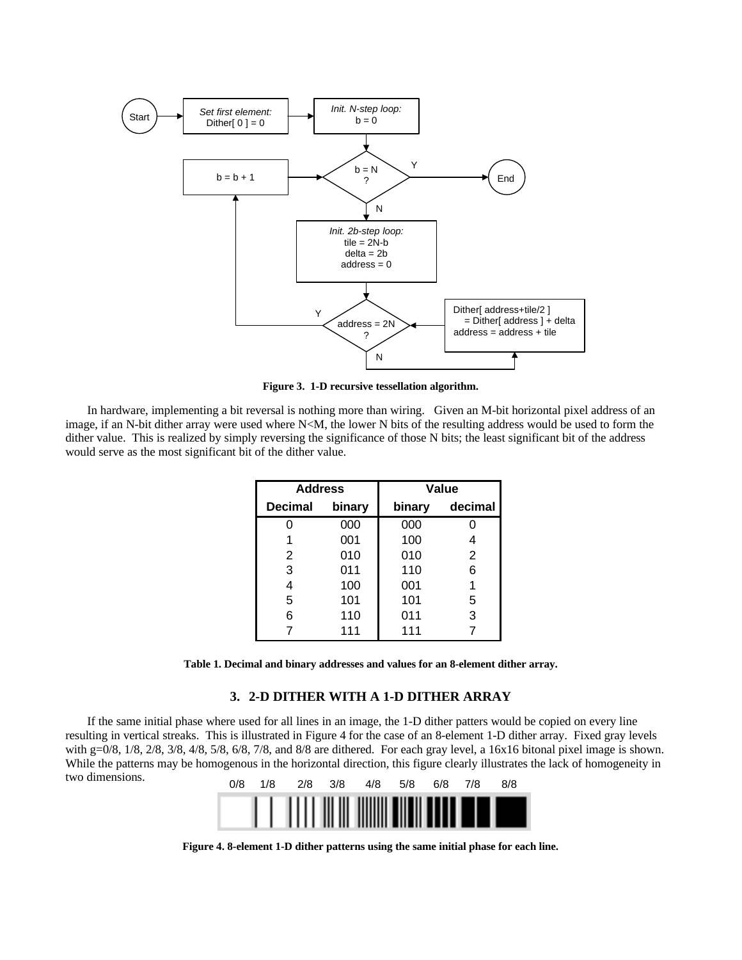

**Figure 3. 1-D recursive tessellation algorithm.**

In hardware, implementing a bit reversal is nothing more than wiring. Given an M-bit horizontal pixel address of an image, if an N-bit dither array were used where N<M, the lower N bits of the resulting address would be used to form the dither value. This is realized by simply reversing the significance of those N bits; the least significant bit of the address would serve as the most significant bit of the dither value.

| <b>Address</b> |        | Value  |         |
|----------------|--------|--------|---------|
| <b>Decimal</b> | binary | binary | decimal |
|                | 000    | 000    |         |
|                | 001    | 100    |         |
| 2              | 010    | 010    | 2       |
| 3              | 011    | 110    | 6       |
| 4              | 100    | 001    | 1       |
| 5              | 101    | 101    | 5       |
| 6              | 110    | 011    | 3       |
|                | 111    | 111    |         |

**Table 1. Decimal and binary addresses and values for an 8-element dither array.**

# **3. 2-D DITHER WITH A 1-D DITHER ARRAY**

If the same initial phase where used for all lines in an image, the 1-D dither patters would be copied on every line resulting in vertical streaks. This is illustrated in Figure 4 for the case of an 8-element 1-D dither array. Fixed gray levels with g=0/8,  $1/8$ ,  $2/8$ ,  $3/8$ ,  $4/8$ ,  $5/8$ ,  $6/8$ ,  $7/8$ , and  $8/8$  are dithered. For each gray level, a  $16x16$  bitonal pixel image is shown. While the patterns may be homogenous in the horizontal direction, this figure clearly illustrates the lack of homogeneity in two dimensions.



**Figure 4. 8-element 1-D dither patterns using the same initial phase for each line.**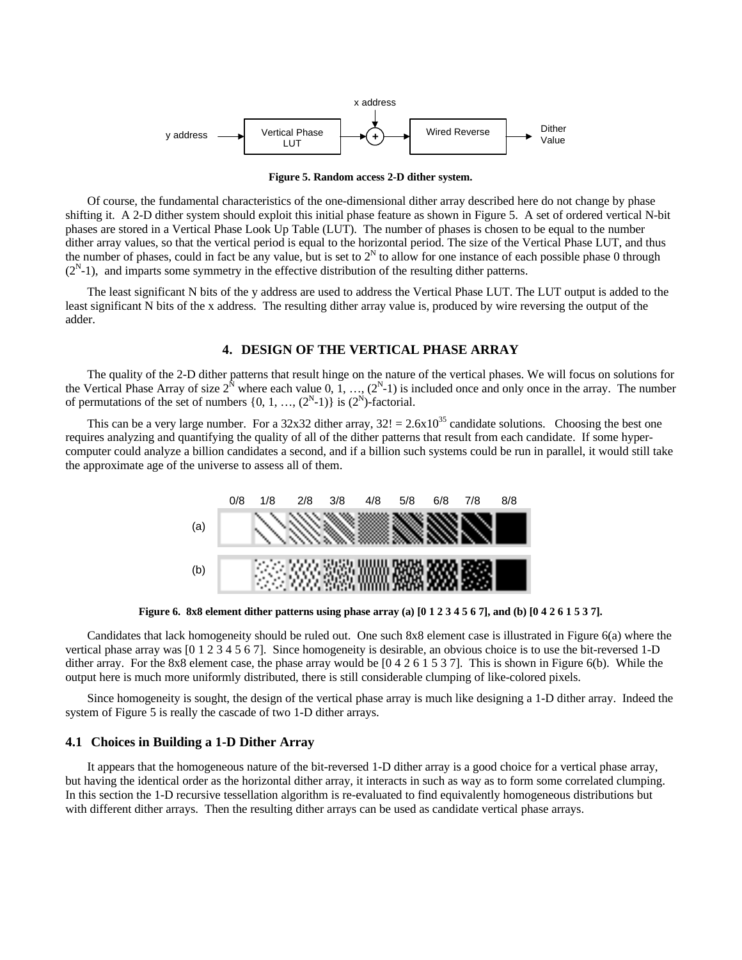

**Figure 5. Random access 2-D dither system.**

Of course, the fundamental characteristics of the one-dimensional dither array described here do not change by phase shifting it. A 2-D dither system should exploit this initial phase feature as shown in Figure 5. A set of ordered vertical N-bit phases are stored in a Vertical Phase Look Up Table (LUT). The number of phases is chosen to be equal to the number dither array values, so that the vertical period is equal to the horizontal period. The size of the Vertical Phase LUT, and thus the number of phases, could in fact be any value, but is set to  $2^N$  to allow for one instance of each possible phase 0 through  $(2<sup>N</sup>-1)$ , and imparts some symmetry in the effective distribution of the resulting dither patterns.

The least significant N bits of the y address are used to address the Vertical Phase LUT. The LUT output is added to the least significant N bits of the x address. The resulting dither array value is, produced by wire reversing the output of the adder.

## **4. DESIGN OF THE VERTICAL PHASE ARRAY**

The quality of the 2-D dither patterns that result hinge on the nature of the vertical phases. We will focus on solutions for the Vertical Phase Array of size  $2^N$  where each value 0, 1, ...,  $(2^N-1)$  is included once and only once in the array. The number of permutations of the set of numbers  $\{0, 1, ..., (2^N-1)\}\$ is  $(2^N)$ -factorial.

This can be a very large number. For a 32x32 dither array,  $32! = 2.6x10^{35}$  candidate solutions. Choosing the best one requires analyzing and quantifying the quality of all of the dither patterns that result from each candidate. If some hypercomputer could analyze a billion candidates a second, and if a billion such systems could be run in parallel, it would still take the approximate age of the universe to assess all of them.



**Figure 6. 8x8 element dither patterns using phase array (a) [0 1 2 3 4 5 6 7], and (b) [0 4 2 6 1 5 3 7].**

Candidates that lack homogeneity should be ruled out. One such 8x8 element case is illustrated in Figure 6(a) where the vertical phase array was [0 1 2 3 4 5 6 7]. Since homogeneity is desirable, an obvious choice is to use the bit-reversed 1-D dither array. For the 8x8 element case, the phase array would be [0 4 2 6 1 5 3 7]. This is shown in Figure 6(b). While the output here is much more uniformly distributed, there is still considerable clumping of like-colored pixels.

Since homogeneity is sought, the design of the vertical phase array is much like designing a 1-D dither array. Indeed the system of Figure 5 is really the cascade of two 1-D dither arrays.

#### **4.1 Choices in Building a 1-D Dither Array**

It appears that the homogeneous nature of the bit-reversed 1-D dither array is a good choice for a vertical phase array, but having the identical order as the horizontal dither array, it interacts in such as way as to form some correlated clumping. In this section the 1-D recursive tessellation algorithm is re-evaluated to find equivalently homogeneous distributions but with different dither arrays. Then the resulting dither arrays can be used as candidate vertical phase arrays.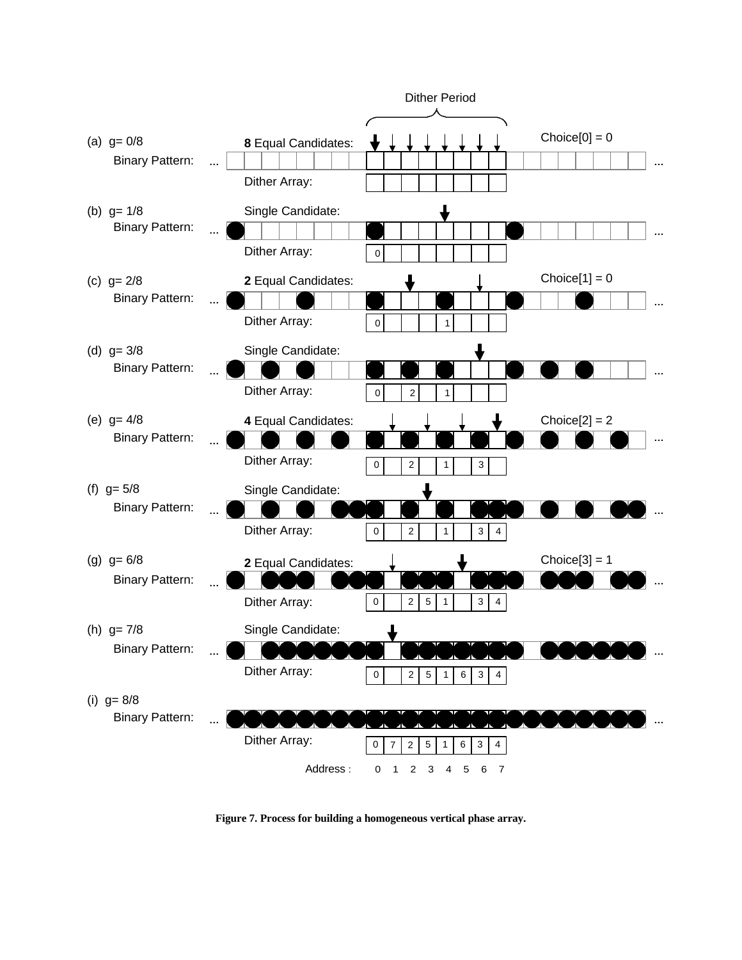

**Figure 7. Process for building a homogeneous vertical phase array.**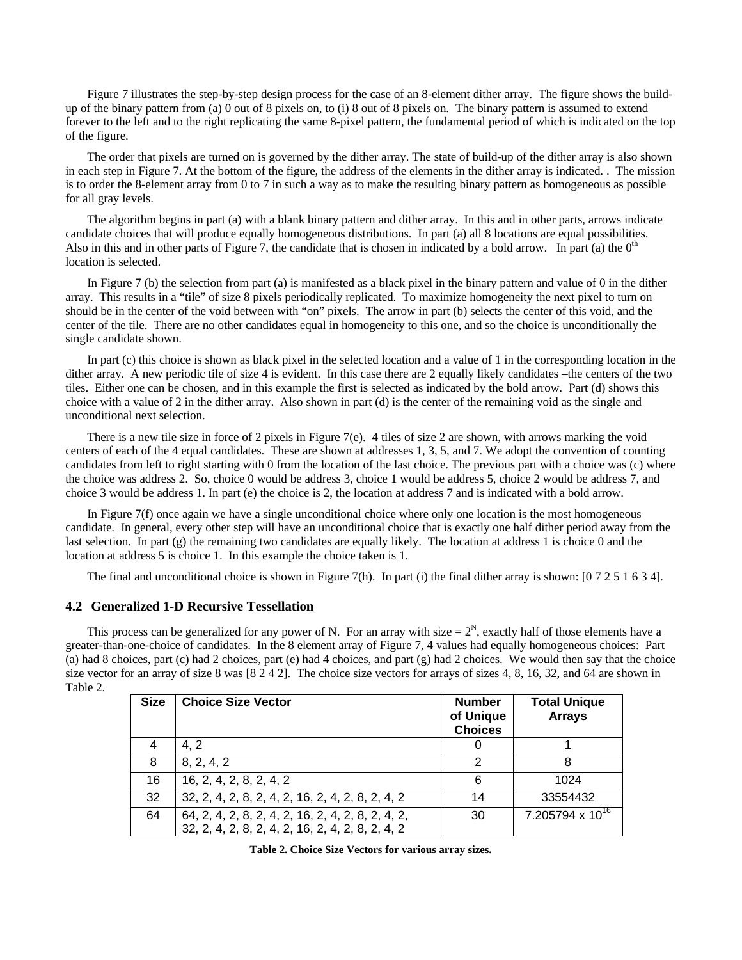Figure 7 illustrates the step-by-step design process for the case of an 8-element dither array. The figure shows the buildup of the binary pattern from (a) 0 out of 8 pixels on, to (i) 8 out of 8 pixels on. The binary pattern is assumed to extend forever to the left and to the right replicating the same 8-pixel pattern, the fundamental period of which is indicated on the top of the figure.

The order that pixels are turned on is governed by the dither array. The state of build-up of the dither array is also shown in each step in Figure 7. At the bottom of the figure, the address of the elements in the dither array is indicated. . The mission is to order the 8-element array from 0 to 7 in such a way as to make the resulting binary pattern as homogeneous as possible for all gray levels.

The algorithm begins in part (a) with a blank binary pattern and dither array. In this and in other parts, arrows indicate candidate choices that will produce equally homogeneous distributions. In part (a) all 8 locations are equal possibilities. Also in this and in other parts of Figure 7, the candidate that is chosen in indicated by a bold arrow. In part (a) the  $0<sup>th</sup>$ location is selected.

In Figure 7 (b) the selection from part (a) is manifested as a black pixel in the binary pattern and value of 0 in the dither array. This results in a "tile" of size 8 pixels periodically replicated. To maximize homogeneity the next pixel to turn on should be in the center of the void between with "on" pixels. The arrow in part (b) selects the center of this void, and the center of the tile. There are no other candidates equal in homogeneity to this one, and so the choice is unconditionally the single candidate shown.

In part (c) this choice is shown as black pixel in the selected location and a value of 1 in the corresponding location in the dither array. A new periodic tile of size 4 is evident. In this case there are 2 equally likely candidates –the centers of the two tiles. Either one can be chosen, and in this example the first is selected as indicated by the bold arrow. Part (d) shows this choice with a value of 2 in the dither array. Also shown in part (d) is the center of the remaining void as the single and unconditional next selection.

There is a new tile size in force of 2 pixels in Figure 7(e). 4 tiles of size 2 are shown, with arrows marking the void centers of each of the 4 equal candidates. These are shown at addresses 1, 3, 5, and 7. We adopt the convention of counting candidates from left to right starting with 0 from the location of the last choice. The previous part with a choice was (c) where the choice was address 2. So, choice 0 would be address 3, choice 1 would be address 5, choice 2 would be address 7, and choice 3 would be address 1. In part (e) the choice is 2, the location at address 7 and is indicated with a bold arrow.

In Figure 7(f) once again we have a single unconditional choice where only one location is the most homogeneous candidate. In general, every other step will have an unconditional choice that is exactly one half dither period away from the last selection. In part (g) the remaining two candidates are equally likely. The location at address 1 is choice 0 and the location at address 5 is choice 1. In this example the choice taken is 1.

The final and unconditional choice is shown in Figure 7(h). In part (i) the final dither array is shown: [0 7 2 5 1 6 3 4].

## **4.2 Generalized 1-D Recursive Tessellation**

This process can be generalized for any power of N. For an array with size  $= 2<sup>N</sup>$ , exactly half of those elements have a greater-than-one-choice of candidates. In the 8 element array of Figure 7, 4 values had equally homogeneous choices: Part (a) had 8 choices, part (c) had 2 choices, part (e) had 4 choices, and part (g) had 2 choices. We would then say that the choice size vector for an array of size 8 was [8 2 4 2]. The choice size vectors for arrays of sizes 4, 8, 16, 32, and 64 are shown in Table 2.

| <b>Size</b> | <b>Choice Size Vector</b>                         | <b>Number</b><br>of Unique<br><b>Choices</b> | <b>Total Unique</b><br><b>Arrays</b> |
|-------------|---------------------------------------------------|----------------------------------------------|--------------------------------------|
|             | 4.2                                               |                                              |                                      |
| 8           | 8, 2, 4, 2                                        | 2                                            | 8                                    |
| 16          | 16, 2, 4, 2, 8, 2, 4, 2                           | 6                                            | 1024                                 |
| 32          | 32, 2, 4, 2, 8, 2, 4, 2, 16, 2, 4, 2, 8, 2, 4, 2  | 14                                           | 33554432                             |
| 64          | 64, 2, 4, 2, 8, 2, 4, 2, 16, 2, 4, 2, 8, 2, 4, 2, | 30                                           | $7.205794 \times 10^{16}$            |
|             | 32, 2, 4, 2, 8, 2, 4, 2, 16, 2, 4, 2, 8, 2, 4, 2  |                                              |                                      |

| Table 2. Choice Size Vectors for various array sizes. |  |  |  |
|-------------------------------------------------------|--|--|--|
|-------------------------------------------------------|--|--|--|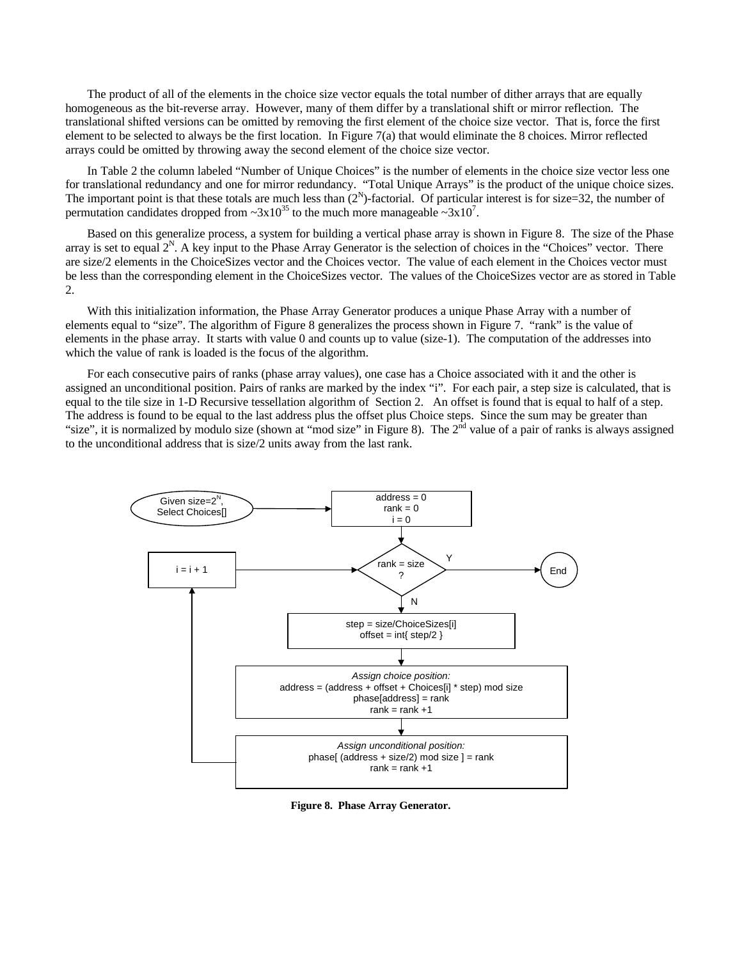The product of all of the elements in the choice size vector equals the total number of dither arrays that are equally homogeneous as the bit-reverse array. However, many of them differ by a translational shift or mirror reflection. The translational shifted versions can be omitted by removing the first element of the choice size vector. That is, force the first element to be selected to always be the first location. In Figure 7(a) that would eliminate the 8 choices. Mirror reflected arrays could be omitted by throwing away the second element of the choice size vector.

In Table 2 the column labeled "Number of Unique Choices" is the number of elements in the choice size vector less one for translational redundancy and one for mirror redundancy. "Total Unique Arrays" is the product of the unique choice sizes. The important point is that these totals are much less than  $(2^N)$ -factorial. Of particular interest is for size=32, the number of permutation candidates dropped from  $\sim 3 \times 10^{35}$  to the much more manageable  $\sim 3 \times 10^{7}$ .

Based on this generalize process, a system for building a vertical phase array is shown in Figure 8. The size of the Phase array is set to equal  $2^N$ . A key input to the Phase Array Generator is the selection of choices in the "Choices" vector. There are size/2 elements in the ChoiceSizes vector and the Choices vector. The value of each element in the Choices vector must be less than the corresponding element in the ChoiceSizes vector. The values of the ChoiceSizes vector are as stored in Table 2.

With this initialization information, the Phase Array Generator produces a unique Phase Array with a number of elements equal to "size". The algorithm of Figure 8 generalizes the process shown in Figure 7. "rank" is the value of elements in the phase array. It starts with value 0 and counts up to value (size-1). The computation of the addresses into which the value of rank is loaded is the focus of the algorithm.

For each consecutive pairs of ranks (phase array values), one case has a Choice associated with it and the other is assigned an unconditional position. Pairs of ranks are marked by the index "i". For each pair, a step size is calculated, that is equal to the tile size in 1-D Recursive tessellation algorithm of Section 2. An offset is found that is equal to half of a step. The address is found to be equal to the last address plus the offset plus Choice steps. Since the sum may be greater than "size", it is normalized by modulo size (shown at "mod size" in Figure 8). The 2<sup>nd</sup> value of a pair of ranks is always assigned to the unconditional address that is size/2 units away from the last rank.



**Figure 8. Phase Array Generator.**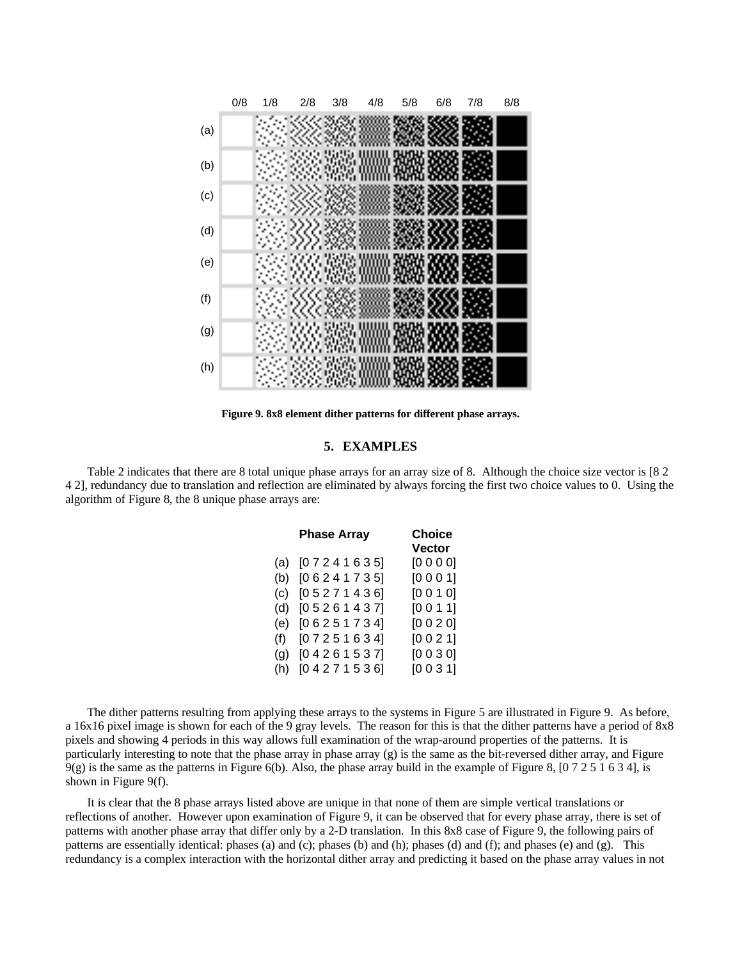

**Figure 9. 8x8 element dither patterns for different phase arrays.**

## **5. EXAMPLES**

Table 2 indicates that there are 8 total unique phase arrays for an array size of 8. Although the choice size vector is [8 2 4 2], redundancy due to translation and reflection are eliminated by always forcing the first two choice values to 0. Using the algorithm of Figure 8, the 8 unique phase arrays are:

|     | <b>Phase Array</b> | <b>Choice</b><br>Vector |
|-----|--------------------|-------------------------|
|     |                    |                         |
| (a) | [07241635]         | [0000]                  |
| (b) | [06241735]         | [0001]                  |
| (c) | [05271436]         | [0010]                  |
| (d) | [0 5 2 6 1 4 3 7]  | [0011]                  |
| (e) | [06251734]         | [0020]                  |
| (f) | [07251634]         | [0021]                  |
| (g) | [04261537]         | [0030]                  |
| (h) | [04271536]         | [0031]                  |

The dither patterns resulting from applying these arrays to the systems in Figure 5 are illustrated in Figure 9. As before, a 16x16 pixel image is shown for each of the 9 gray levels. The reason for this is that the dither patterns have a period of 8x8 pixels and showing 4 periods in this way allows full examination of the wrap-around properties of the patterns. It is particularly interesting to note that the phase array in phase array (g) is the same as the bit-reversed dither array, and Figure  $9(g)$  is the same as the patterns in Figure 6(b). Also, the phase array build in the example of Figure 8, [0 7 2 5 1 6 3 4], is shown in Figure 9(f).

It is clear that the 8 phase arrays listed above are unique in that none of them are simple vertical translations or reflections of another. However upon examination of Figure 9, it can be observed that for every phase array, there is set of patterns with another phase array that differ only by a 2-D translation. In this 8x8 case of Figure 9, the following pairs of patterns are essentially identical: phases (a) and (c); phases (b) and (h); phases (d) and (f); and phases (e) and (g). This redundancy is a complex interaction with the horizontal dither array and predicting it based on the phase array values in not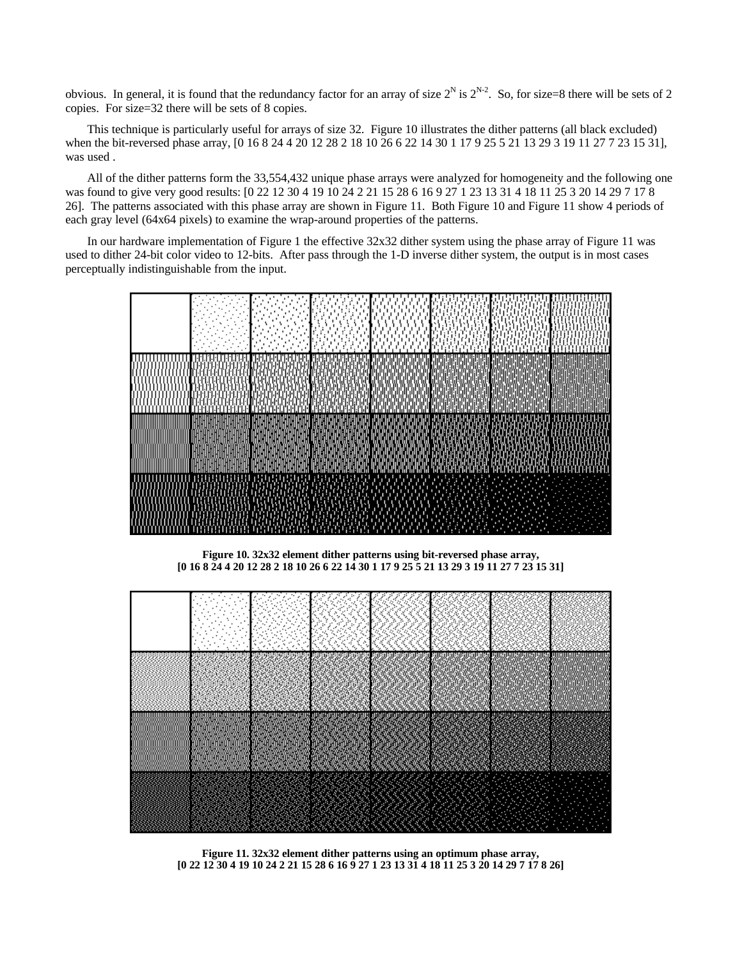obvious. In general, it is found that the redundancy factor for an array of size  $2^N$  is  $2^{N-2}$ . So, for size=8 there will be sets of 2 copies. For size=32 there will be sets of 8 copies.

This technique is particularly useful for arrays of size 32. Figure 10 illustrates the dither patterns (all black excluded) when the bit-reversed phase array, [0 16 8 24 4 20 12 28 2 18 10 26 6 22 14 30 1 17 9 25 5 21 13 29 3 19 11 27 7 23 15 31], was used .

All of the dither patterns form the 33,554,432 unique phase arrays were analyzed for homogeneity and the following one was found to give very good results: [0 22 12 30 4 19 10 24 2 21 15 28 6 16 9 27 1 23 13 31 4 18 11 25 3 20 14 29 7 17 8 26]. The patterns associated with this phase array are shown in Figure 11. Both Figure 10 and Figure 11 show 4 periods of each gray level (64x64 pixels) to examine the wrap-around properties of the patterns.

In our hardware implementation of Figure 1 the effective 32x32 dither system using the phase array of Figure 11 was used to dither 24-bit color video to 12-bits. After pass through the 1-D inverse dither system, the output is in most cases perceptually indistinguishable from the input.



**Figure 10. 32x32 element dither patterns using bit-reversed phase array, [0 16 8 24 4 20 12 28 2 18 10 26 6 22 14 30 1 17 9 25 5 21 13 29 3 19 11 27 7 23 15 31]**



**Figure 11. 32x32 element dither patterns using an optimum phase array, [0 22 12 30 4 19 10 24 2 21 15 28 6 16 9 27 1 23 13 31 4 18 11 25 3 20 14 29 7 17 8 26]**